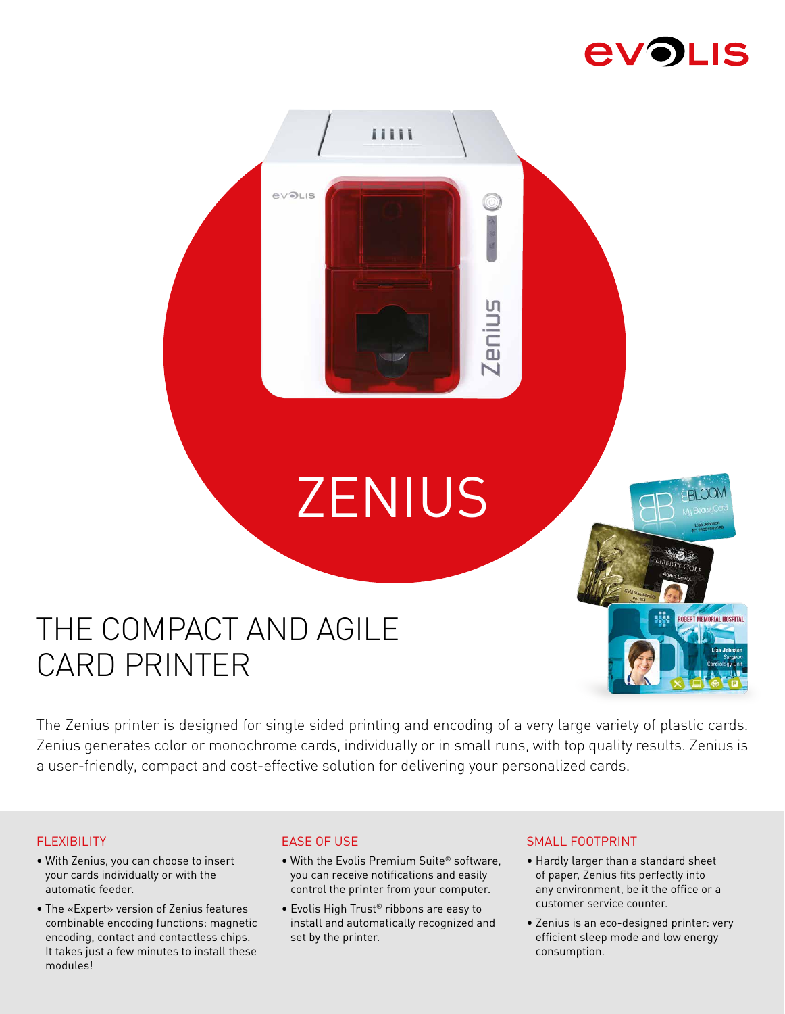# **EVOLIS**



# THE COMPACT AND AGILE CARD PRINTER

The Zenius printer is designed for single sided printing and encoding of a very large variety of plastic cards. Zenius generates color or monochrome cards, individually or in small runs, with top quality results. Zenius is a user-friendly, compact and cost-effective solution for delivering your personalized cards.

## FLEXIBILITY

- With Zenius, you can choose to insert your cards individually or with the automatic feeder.
- The «Expert» version of Zenius features combinable encoding functions: magnetic encoding, contact and contactless chips. It takes just a few minutes to install these modules!

# EASE OF USE

- With the Evolis Premium Suite® software, you can receive notifications and easily control the printer from your computer.
- Evolis High Trust® ribbons are easy to install and automatically recognized and set by the printer.

## SMALL FOOTPRINT

- Hardly larger than a standard sheet of paper, Zenius fits perfectly into any environment, be it the office or a customer service counter.
- Zenius is an eco-designed printer: very efficient sleep mode and low energy consumption.